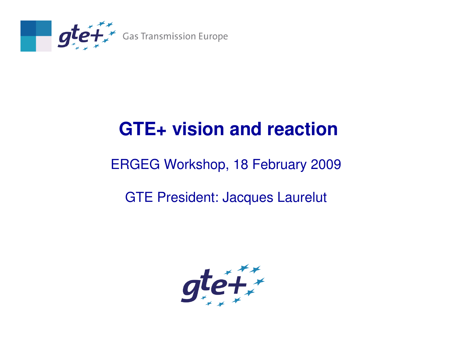

### **GTE+ vision and reaction**

#### ERGEG Workshop, 18 February 2009

#### GTE President: Jacques Laurelut

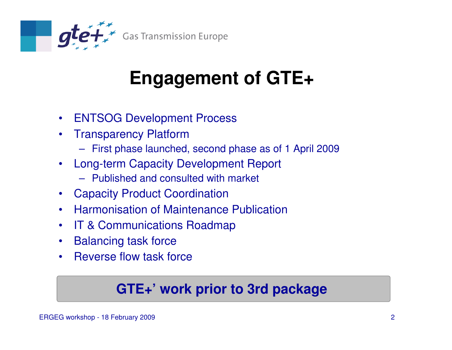

# **Engagement of GTE+**

- $\bullet$ ENTSOG Development Process
- $\bullet$  Transparency Platform
	- First phase launched, second phase as of 1 April 2009
- $\bullet$  Long-term Capacity Development Report
	- Published and consulted with market
- Capacity Product Coordination
- Harmonisation of Maintenance Publication $\bullet$
- $\bullet$ IT & Communications Roadmap
- $\bullet$ Balancing task force
- Reverse flow task force•

### **GTE+' work prior to 3rd package**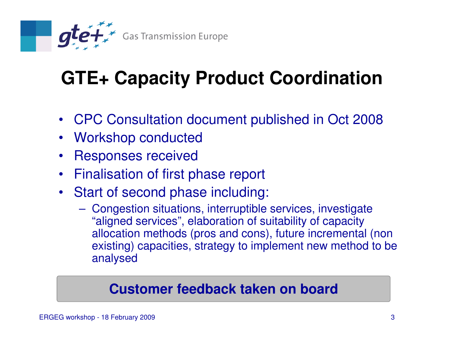

# **GTE+ Capacity Product Coordination**

- CPC Consultation document published in Oct 2008
- Workshop conducted
- Responses received $\bullet$
- Finalisation of first phase report  $\bullet$
- $\bullet$  Start of second phase including:
	- Congestion situations, interruptible services, investigate "aligned services", elaboration of suitability of capacity allocation methods (pros and cons), future incremental (non existing) capacities, strategy to implement new method to be analysed

#### **Customer feedback taken on board**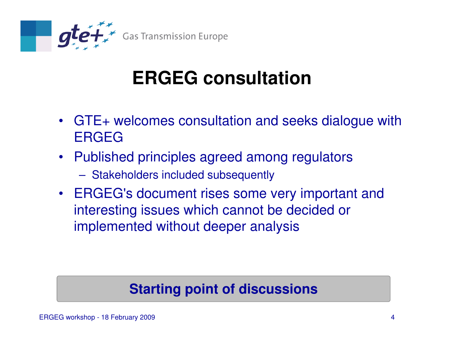

### **ERGEG consultation**

- GTE+ welcomes consultation and seeks dialogue withERGEG
- Published principles agreed among regulators
	- Stakeholders included subsequently
- ERGEG's document rises some very important and interesting issues which cannot be decided or implemented without deeper analysis

#### **Starting point of discussions**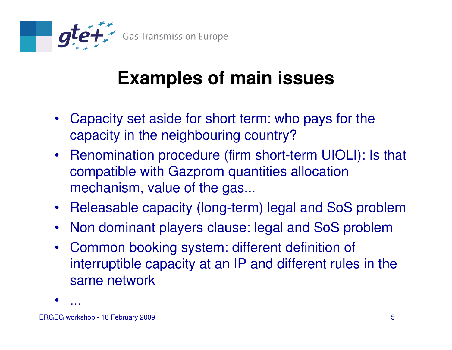

### **Examples of main issues**

- Capacity set aside for short term: who pays for the capacity in the neighbouring country?
- Renomination procedure (firm short-term UIOLI): Is that compatible with Gazprom quantities allocation mechanism, value of the gas...
- Releasable capacity (long-term) legal and SoS problem
- Non dominant players clause: legal and SoS problem
- Common booking system: different definition of interruptible capacity at an IP and different rules in the same network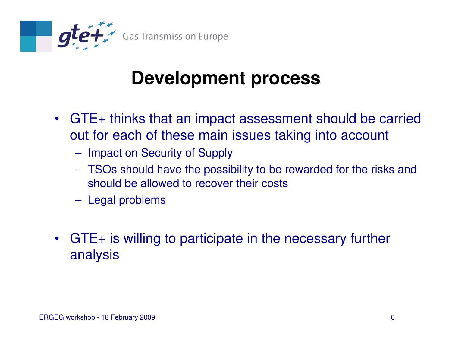

### **Development process**

- GTE+ thinks that an impact assessment should be carried out for each of these main issues taking into account
	- Impact on Security of Supply
	- TSOs should have the possibility to be rewarded for the risks and should be allowed to recover their costs
	- Legal problems
- GTE+ is willing to participate in the necessary further analysis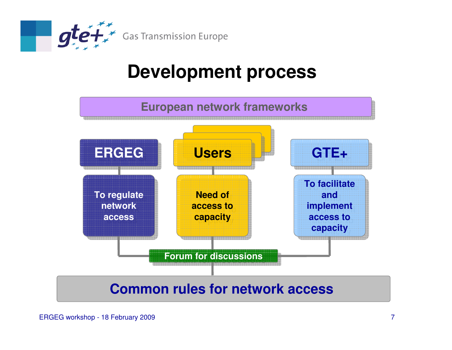

### **Development process**



#### **Common rules for network access**